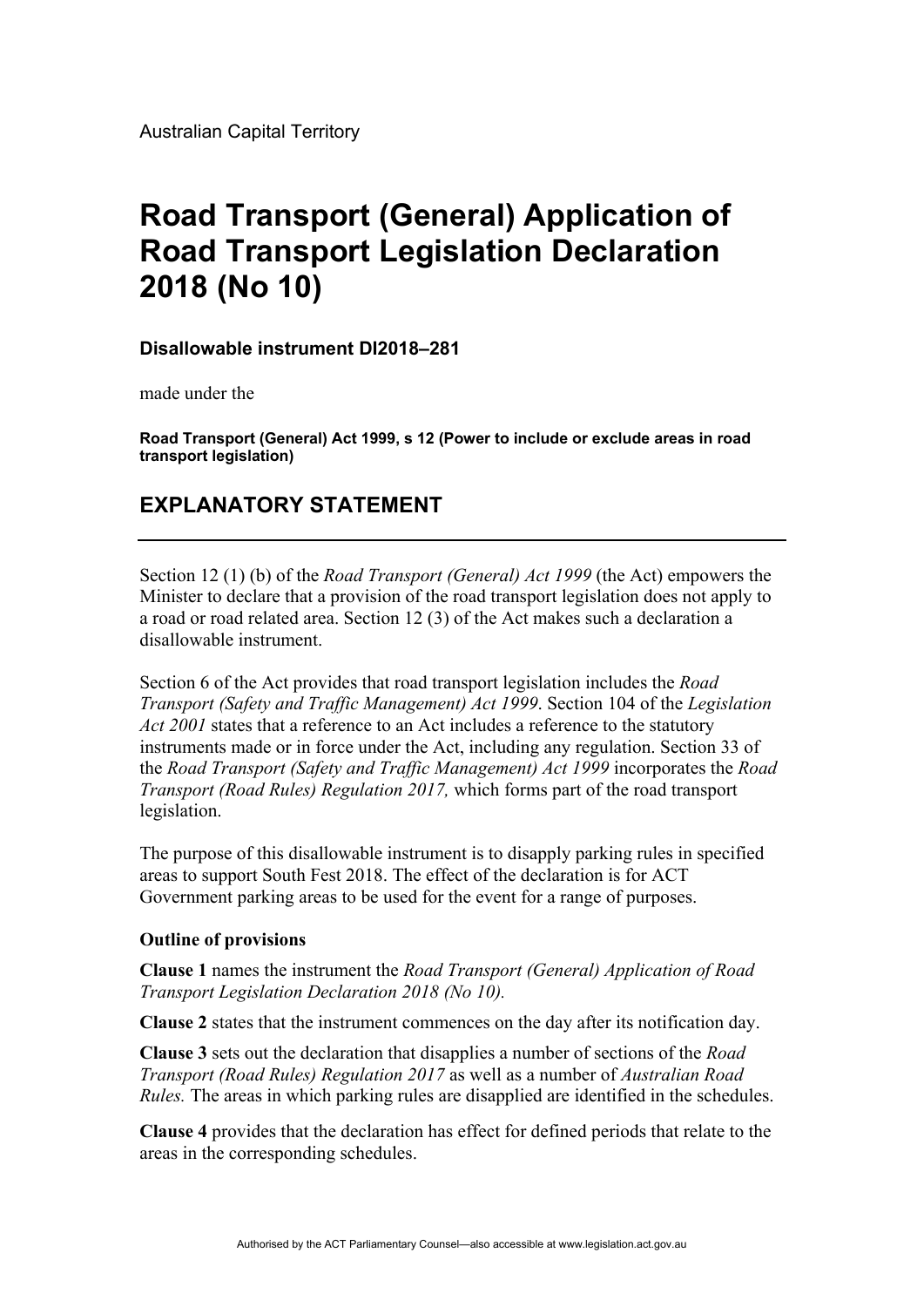## **Road Transport (General) Application of Road Transport Legislation Declaration 2018 (No 10)**

## **Disallowable instrument DI2018–281**

made under the

**Road Transport (General) Act 1999, s 12 (Power to include or exclude areas in road transport legislation)** 

## **EXPLANATORY STATEMENT**

Section 12 (1) (b) of the *Road Transport (General) Act 1999* (the Act) empowers the Minister to declare that a provision of the road transport legislation does not apply to a road or road related area. Section 12 (3) of the Act makes such a declaration a disallowable instrument.

Section 6 of the Act provides that road transport legislation includes the *Road Transport (Safety and Traffic Management) Act 1999*. Section 104 of the *Legislation Act 2001* states that a reference to an Act includes a reference to the statutory instruments made or in force under the Act, including any regulation. Section 33 of the *Road Transport (Safety and Traffic Management) Act 1999* incorporates the *Road Transport (Road Rules) Regulation 2017,* which forms part of the road transport legislation.

The purpose of this disallowable instrument is to disapply parking rules in specified areas to support South Fest 2018. The effect of the declaration is for ACT Government parking areas to be used for the event for a range of purposes.

## **Outline of provisions**

**Clause 1** names the instrument the *Road Transport (General) Application of Road Transport Legislation Declaration 2018 (No 10).* 

**Clause 2** states that the instrument commences on the day after its notification day.

**Clause 3** sets out the declaration that disapplies a number of sections of the *Road Transport (Road Rules) Regulation 2017* as well as a number of *Australian Road Rules.* The areas in which parking rules are disapplied are identified in the schedules.

**Clause 4** provides that the declaration has effect for defined periods that relate to the areas in the corresponding schedules.